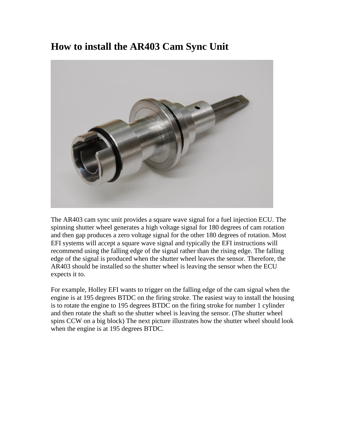## **How to install the AR403 Cam Sync Unit**



The AR403 cam sync unit provides a square wave signal for a fuel injection ECU. The spinning shutter wheel generates a high voltage signal for 180 degrees of cam rotation and then gap produces a zero voltage signal for the other 180 degrees of rotation. Most EFI systems will accept a square wave signal and typically the EFI instructions will recommend using the falling edge of the signal rather than the rising edge. The falling edge of the signal is produced when the shutter wheel leaves the sensor. Therefore, the AR403 should be installed so the shutter wheel is leaving the sensor when the ECU expects it to.

For example, Holley EFI wants to trigger on the falling edge of the cam signal when the engine is at 195 degrees BTDC on the firing stroke. The easiest way to install the housing is to rotate the engine to 195 degrees BTDC on the firing stroke for number 1 cylinder and then rotate the shaft so the shutter wheel is leaving the sensor. (The shutter wheel spins CCW on a big block) The next picture illustrates how the shutter wheel should look when the engine is at 195 degrees BTDC.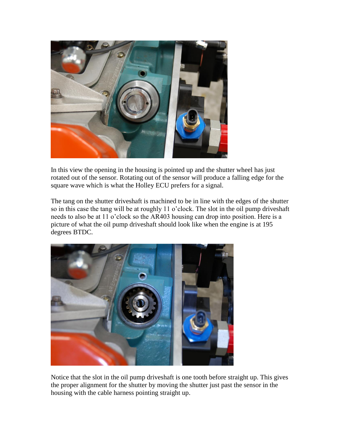

In this view the opening in the housing is pointed up and the shutter wheel has just rotated out of the sensor. Rotating out of the sensor will produce a falling edge for the square wave which is what the Holley ECU prefers for a signal.

The tang on the shutter driveshaft is machined to be in line with the edges of the shutter so in this case the tang will be at roughly 11 o'clock. The slot in the oil pump driveshaft needs to also be at 11 o'clock so the AR403 housing can drop into position. Here is a picture of what the oil pump driveshaft should look like when the engine is at 195 degrees BTDC.



Notice that the slot in the oil pump driveshaft is one tooth before straight up. This gives the proper alignment for the shutter by moving the shutter just past the sensor in the housing with the cable harness pointing straight up.